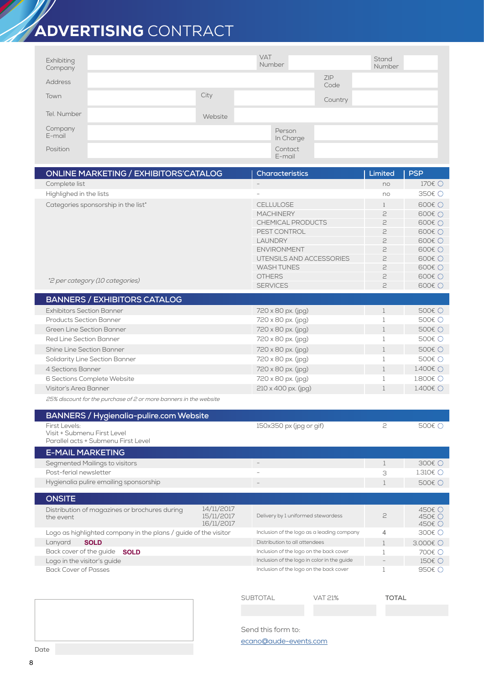## ADVERTISING CONTRACT

| Exhibiting<br>Company |         | <b>VAT</b><br>Number |             | Stand<br>Number |
|-----------------------|---------|----------------------|-------------|-----------------|
| <b>Address</b>        |         |                      | ZIP<br>Code |                 |
| Town                  | City    |                      | Country     |                 |
| Tel. Number           | Website |                      |             |                 |
| Company<br>E-mail     |         | Person<br>In Charge  |             |                 |
| Position              |         | Contact<br>E-mail    |             |                 |

| <b>ONLINE MARKETING / EXHIBITORS'CATALOG</b>                      |                                                                 | <b>Characteristics</b>                                                   | Limited        | <b>PSP</b>             |
|-------------------------------------------------------------------|-----------------------------------------------------------------|--------------------------------------------------------------------------|----------------|------------------------|
| Complete list                                                     |                                                                 |                                                                          | no             | 170€ ○                 |
| Highlighed in the lists                                           |                                                                 |                                                                          | no             | 350€ ○                 |
| Categories sponsorship in the list*                               |                                                                 | <b>CELLULOSE</b>                                                         | 1              | 600€ ○                 |
|                                                                   |                                                                 | <b>MACHINERY</b>                                                         | 2              | 600€ ∩                 |
|                                                                   |                                                                 | <b>CHEMICAL PRODUCTS</b>                                                 | 5              | 600€ ○                 |
|                                                                   |                                                                 | PEST CONTROL                                                             | 5              | 600€ ○                 |
|                                                                   |                                                                 | <b>LAUNDRY</b>                                                           | 2              | 600€ ○                 |
|                                                                   |                                                                 | <b>ENVIRONMENT</b>                                                       | 2              | 600€ ○                 |
|                                                                   |                                                                 | UTENSILS AND ACCESSORIES                                                 | 2              | 600€ ○                 |
|                                                                   |                                                                 | <b>WASH TUNES</b>                                                        | 2              | 600€ ○                 |
| *2 per category (10 categories)                                   |                                                                 | <b>OTHERS</b>                                                            | 2              | 600€ ○                 |
|                                                                   |                                                                 | <b>SERVICES</b>                                                          | $\geq$         | 600€ ○                 |
| <b>BANNERS / EXHIBITORS CATALOG</b>                               |                                                                 |                                                                          |                |                        |
| <b>Exhibitors Section Banner</b>                                  |                                                                 | 720 x 80 px. (jpg)                                                       | $\mathbf{1}$   | 500€ ○                 |
| <b>Products Section Banner</b>                                    |                                                                 | 720 x 80 px. (jpg)                                                       | $\mathbf 1$    | 500€ ○                 |
| <b>Green Line Section Banner</b>                                  |                                                                 | 720 x 80 px. (jpg)                                                       | $\mathbf{1}$   | 500€ ○                 |
| <b>Red Line Section Banner</b>                                    |                                                                 | 720 x 80 px. (jpg)                                                       | $\mathbf{1}$   | 500€ ○                 |
| Shine Line Section Banner                                         |                                                                 | 720 x 80 px. (jpg)                                                       | $\mathbf{1}$   | 500€ ○                 |
| Solidarity Line Section Banner                                    |                                                                 | 720 x 80 px. (jpg)                                                       | $\mathbf{1}$   | 500€ ○                 |
| 4 Sections Banner                                                 |                                                                 | 720 x 80 px. (jpg)                                                       | $\mathbf{1}$   | 1.400€ ()              |
| 6 Sections Complete Website                                       |                                                                 | 720 x 80 px. (jpg)                                                       | $\mathbf{1}$   | 1.800€ ○               |
| Visitor's Area Banner                                             |                                                                 | $210 \times 400$ px. (jpg)                                               | $\mathbf{1}$   | 1.400 $\in$ $\bigcirc$ |
| 25% discount for the purchase of 2 or more banners in the website |                                                                 |                                                                          |                |                        |
| <b>BANNERS / Hygienalia-pulire.com Website</b>                    |                                                                 |                                                                          |                |                        |
| First Levels:                                                     |                                                                 | 150x350 px (jpg or gif)                                                  | 2              | 500€ ○                 |
| Visit + Submenu First Level                                       |                                                                 |                                                                          |                |                        |
| Parallel acts + Submenu First Level                               |                                                                 |                                                                          |                |                        |
| <b>E-MAIL MARKETING</b>                                           |                                                                 |                                                                          |                |                        |
| Segmented Mailings to visitors                                    |                                                                 | $\overline{\phantom{a}}$                                                 | $\mathbf 1$    | 300€ ○                 |
| Post-ferial newsletter                                            |                                                                 |                                                                          | 3              | 1.310 $\in$ $\bigcirc$ |
| Hygienalia pulire emailing sponsorship                            |                                                                 |                                                                          | $\mathbf 1$    | 500€ ○                 |
| <b>ONSITE</b>                                                     |                                                                 |                                                                          |                |                        |
| Distribution of magazines or brochures during                     | 14/11/2017                                                      |                                                                          |                | 450€ ○                 |
| the event                                                         | 15/11/2017                                                      | Delivery by 1 uniformed stewardess                                       | 2              | 450€ ∩                 |
| 16/11/2017                                                        |                                                                 | Inclusion of the logo as a leading company                               | 4              | 450€ ○<br>300€ ○       |
| Lanyard<br><b>SOLD</b>                                            | Logo as highlighted company in the plans / guide of the visitor |                                                                          | $\mathbf{1}$   | 3.000€ O               |
| Back cover of the guide SOLD                                      |                                                                 | Distribution to all attendees<br>Inclusion of the logo on the back cover | $\mathbf 1$    | 700€ ○                 |
| Logo in the visitor's guide                                       |                                                                 | Inclusion of the logo in color in the guide                              | $\overline{a}$ | 150€ ○                 |
| <b>Back Cover of Passes</b>                                       |                                                                 | Inclusion of the logo on the back cover                                  | $\mathbf{1}$   | 950€ ○                 |

SUBTOTAL VAT 21% **TOTAL**

Send this form to:

ecano@aude-events.com

8